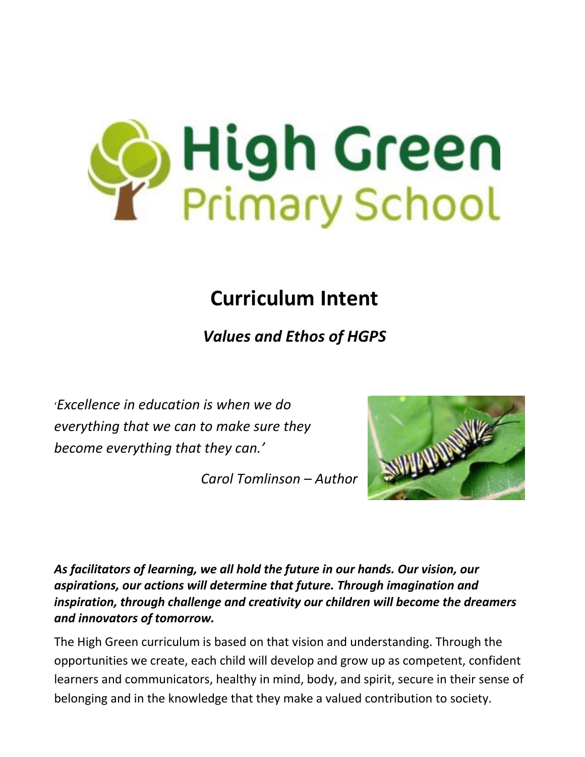

## **Curriculum Intent**

*Values and Ethos of HGPS*

'*Excellence in education is when we do everything that we can to make sure they become everything that they can.'*

*Carol Tomlinson – Author*



*As facilitators of learning, we all hold the future in our hands. Our vision, our aspirations, our actions will determine that future. Through imagination and inspiration, through challenge and creativity our children will become the dreamers and innovators of tomorrow.*

The High Green curriculum is based on that vision and understanding. Through the opportunities we create, each child will develop and grow up as competent, confident learners and communicators, healthy in mind, body, and spirit, secure in their sense of belonging and in the knowledge that they make a valued contribution to society.